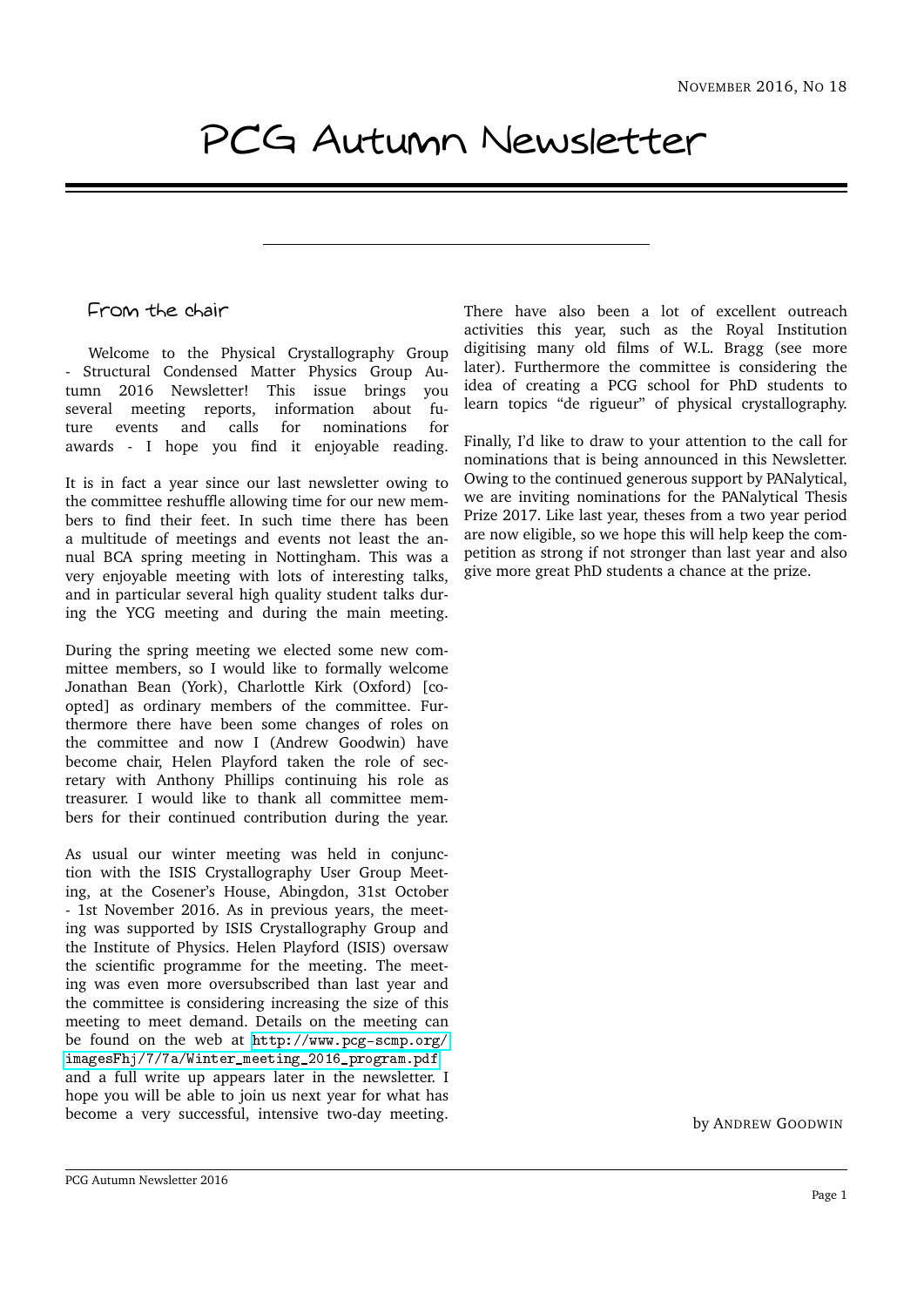# PCG Autumn Newsletter

## From the chair

Welcome to the Physical Crystallography Group - Structural Condensed Matter Physics Group Autumn 2016 Newsletter! This issue brings you several meeting reports, information about future events and calls for nominations for awards - I hope you find it enjoyable reading.

It is in fact a year since our last newsletter owing to the committee reshuffle allowing time for our new members to find their feet. In such time there has been a multitude of meetings and events not least the annual BCA spring meeting in Nottingham. This was a very enjoyable meeting with lots of interesting talks, and in particular several high quality student talks during the YCG meeting and during the main meeting.

During the spring meeting we elected some new committee members, so I would like to formally welcome Jonathan Bean (York), Charlottle Kirk (Oxford) [coopted] as ordinary members of the committee. Furthermore there have been some changes of roles on the committee and now I (Andrew Goodwin) have become chair, Helen Playford taken the role of secretary with Anthony Phillips continuing his role as treasurer. I would like to thank all committee members for their continued contribution during the year.

As usual our winter meeting was held in conjunction with the ISIS Crystallography User Group Meeting, at the Cosener's House, Abingdon, 31st October - 1st November 2016. As in previous years, the meeting was supported by ISIS Crystallography Group and the Institute of Physics. Helen Playford (ISIS) oversaw the scientific programme for the meeting. The meeting was even more oversubscribed than last year and the committee is considering increasing the size of this meeting to meet demand. Details on the meeting can be found on the web at [http://www.pcg-scmp.org/](http://www.pcg-scmp.org/imagesFhj/7/7a/Winter_meeting_2016_program.pdf) [imagesFhj/7/7a/Winter\\_meeting\\_2016\\_program.pdf](http://www.pcg-scmp.org/imagesFhj/7/7a/Winter_meeting_2016_program.pdf) and a full write up appears later in the newsletter. I hope you will be able to join us next year for what has become a very successful, intensive two-day meeting.

There have also been a lot of excellent outreach activities this year, such as the Royal Institution digitising many old films of W.L. Bragg (see more later). Furthermore the committee is considering the idea of creating a PCG school for PhD students to learn topics "de rigueur" of physical crystallography.

Finally, I'd like to draw to your attention to the call for nominations that is being announced in this Newsletter. Owing to the continued generous support by PANalytical, we are inviting nominations for the PANalytical Thesis Prize 2017. Like last year, theses from a two year period are now eligible, so we hope this will help keep the competition as strong if not stronger than last year and also give more great PhD students a chance at the prize.

by ANDREW GOODWIN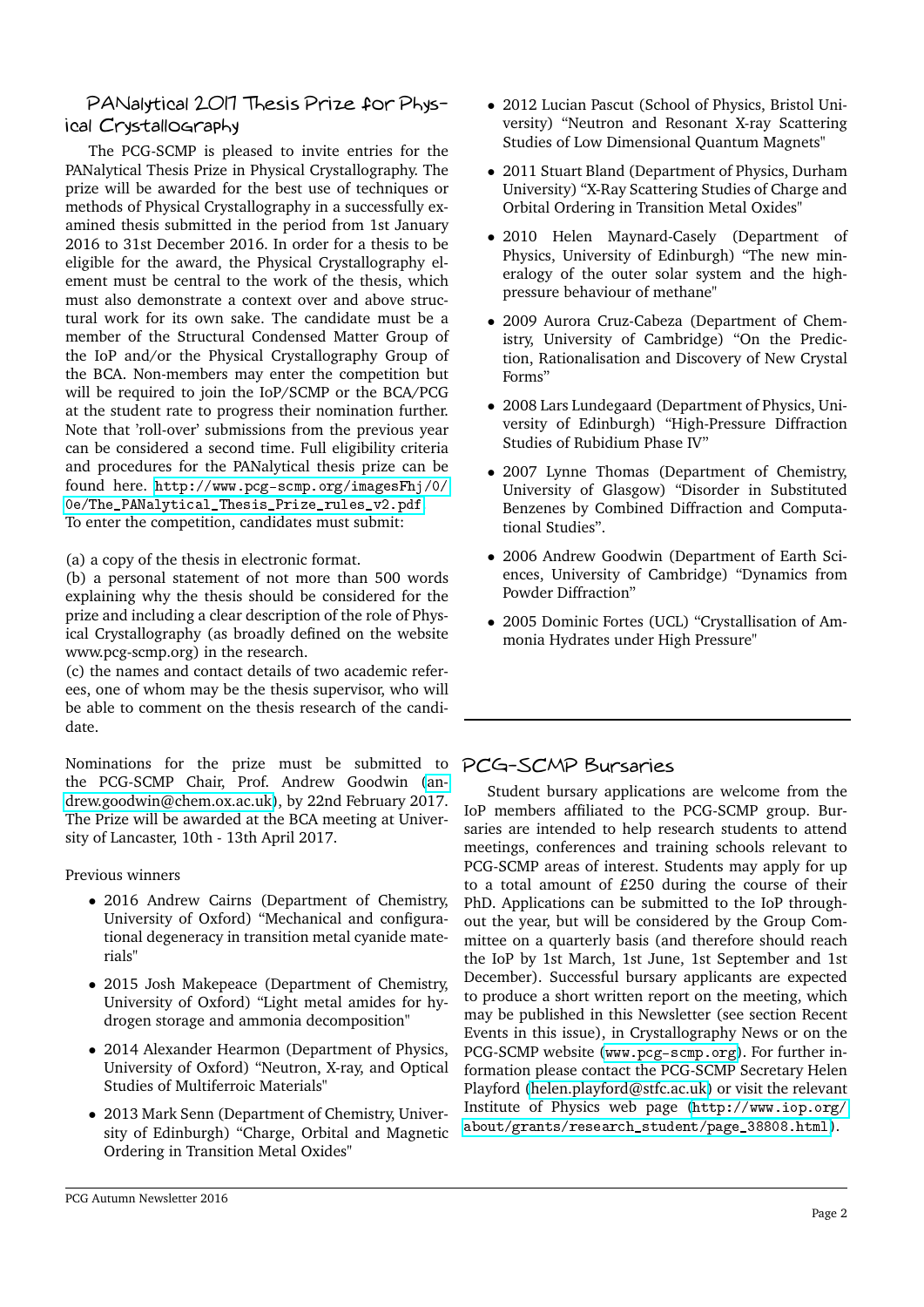#### PANalytical 2017 Thesis Prize for Physical Crystallography

The PCG-SCMP is pleased to invite entries for the PANalytical Thesis Prize in Physical Crystallography. The prize will be awarded for the best use of techniques or methods of Physical Crystallography in a successfully examined thesis submitted in the period from 1st January 2016 to 31st December 2016. In order for a thesis to be eligible for the award, the Physical Crystallography element must be central to the work of the thesis, which must also demonstrate a context over and above structural work for its own sake. The candidate must be a member of the Structural Condensed Matter Group of the IoP and/or the Physical Crystallography Group of the BCA. Non-members may enter the competition but will be required to join the IoP/SCMP or the BCA/PCG at the student rate to progress their nomination further. Note that 'roll-over' submissions from the previous year can be considered a second time. Full eligibility criteria and procedures for the PANalytical thesis prize can be found here. [http://www.pcg-scmp.org/imagesFhj/0/](http://www.pcg-scmp.org/imagesFhj/0/0e/The_PANalytical_Thesis_Prize_rules_v2.pdf) [0e/The\\_PANalytical\\_Thesis\\_Prize\\_rules\\_v2.pdf](http://www.pcg-scmp.org/imagesFhj/0/0e/The_PANalytical_Thesis_Prize_rules_v2.pdf). To enter the competition, candidates must submit:

(a) a copy of the thesis in electronic format.

(b) a personal statement of not more than 500 words explaining why the thesis should be considered for the prize and including a clear description of the role of Physical Crystallography (as broadly defined on the website www.pcg-scmp.org) in the research.

(c) the names and contact details of two academic referees, one of whom may be the thesis supervisor, who will be able to comment on the thesis research of the candidate.

Nominations for the prize must be submitted to the PCG-SCMP Chair, Prof. Andrew Goodwin [\(an](mailto:andrew.goodwin@chem.ox.ac.uk)[drew.goodwin@chem.ox.ac.uk\)](mailto:andrew.goodwin@chem.ox.ac.uk), by 22nd February 2017. The Prize will be awarded at the BCA meeting at University of Lancaster, 10th - 13th April 2017.

Previous winners

- 2016 Andrew Cairns (Department of Chemistry, University of Oxford) "Mechanical and configurational degeneracy in transition metal cyanide materials"
- 2015 Josh Makepeace (Department of Chemistry, University of Oxford) "Light metal amides for hydrogen storage and ammonia decomposition"
- 2014 Alexander Hearmon (Department of Physics, University of Oxford) "Neutron, X-ray, and Optical Studies of Multiferroic Materials"
- 2013 Mark Senn (Department of Chemistry, University of Edinburgh) "Charge, Orbital and Magnetic Ordering in Transition Metal Oxides"
- 2012 Lucian Pascut (School of Physics, Bristol University) "Neutron and Resonant X-ray Scattering Studies of Low Dimensional Quantum Magnets"
- 2011 Stuart Bland (Department of Physics, Durham University) "X-Ray Scattering Studies of Charge and Orbital Ordering in Transition Metal Oxides"
- 2010 Helen Maynard-Casely (Department of Physics, University of Edinburgh) "The new mineralogy of the outer solar system and the highpressure behaviour of methane"
- 2009 Aurora Cruz-Cabeza (Department of Chemistry, University of Cambridge) "On the Prediction, Rationalisation and Discovery of New Crystal Forms"
- 2008 Lars Lundegaard (Department of Physics, University of Edinburgh) "High-Pressure Diffraction Studies of Rubidium Phase IV"
- 2007 Lynne Thomas (Department of Chemistry, University of Glasgow) "Disorder in Substituted Benzenes by Combined Diffraction and Computational Studies".
- 2006 Andrew Goodwin (Department of Earth Sciences, University of Cambridge) "Dynamics from Powder Diffraction"
- 2005 Dominic Fortes (UCL) "Crystallisation of Ammonia Hydrates under High Pressure"

## PCG-SCMP Bursaries

Student bursary applications are welcome from the IoP members affiliated to the PCG-SCMP group. Bursaries are intended to help research students to attend meetings, conferences and training schools relevant to PCG-SCMP areas of interest. Students may apply for up to a total amount of £250 during the course of their PhD. Applications can be submitted to the IoP throughout the year, but will be considered by the Group Committee on a quarterly basis (and therefore should reach the IoP by 1st March, 1st June, 1st September and 1st December). Successful bursary applicants are expected to produce a short written report on the meeting, which may be published in this Newsletter (see section Recent Events in this issue), in Crystallography News or on the PCG-SCMP website (<www.pcg-scmp.org>). For further information please contact the PCG-SCMP Secretary Helen Playford [\(helen.playford@stfc.ac.uk\)](mailto:helen.playford@stfc.ac.uk) or visit the relevant Institute of Physics web page ([http://www.iop.org/](http://www.iop.org/about/grants/research_student/page_38808.html) [about/grants/research\\_student/page\\_38808.html](http://www.iop.org/about/grants/research_student/page_38808.html)).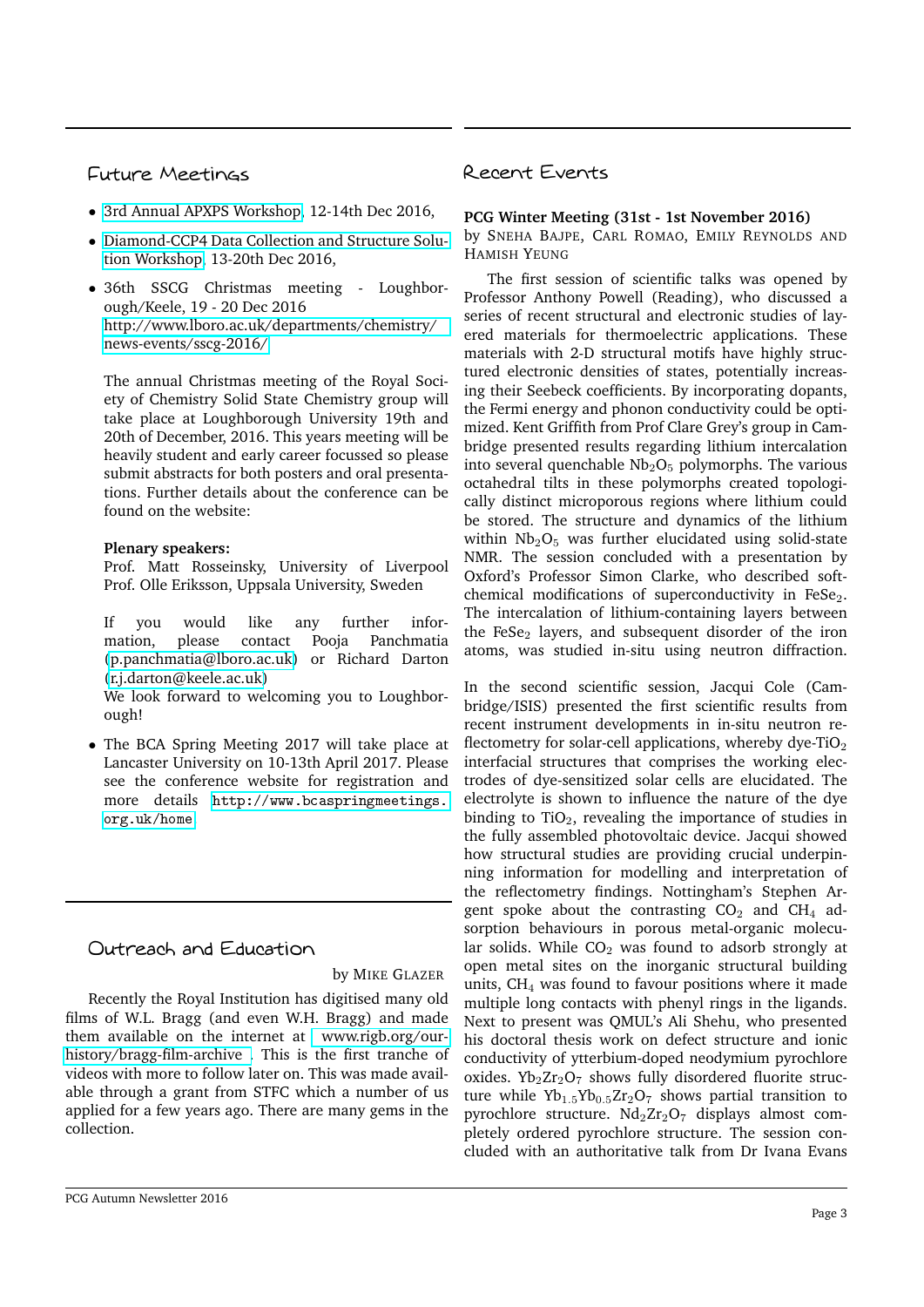## Future Meetings

- [3rd Annual APXPS Workshop,](http://www.diamond.ac.uk/Home/Events/2016/APXPS.html) 12-14th Dec 2016,
- [Diamond-CCP4 Data Collection and Structure Solu](http://www.diamond.ac.uk/Home/Events/2016/Diamond-CCP4-Data-Collection-and-Analysis-workshop.html)[tion Workshop,](http://www.diamond.ac.uk/Home/Events/2016/Diamond-CCP4-Data-Collection-and-Analysis-workshop.html) 13-20th Dec 2016,
- 36th SSCG Christmas meeting Loughborough/Keele, 19 - 20 Dec 2016 [http://www.lboro.ac.uk/departments/chemistry/](http://www.lboro.ac.uk/departments/chemistry/news-events/sscg-2016/) [news-events/sscg-2016/](http://www.lboro.ac.uk/departments/chemistry/news-events/sscg-2016/)

The annual Christmas meeting of the Royal Society of Chemistry Solid State Chemistry group will take place at Loughborough University 19th and 20th of December, 2016. This years meeting will be heavily student and early career focussed so please submit abstracts for both posters and oral presentations. Further details about the conference can be found on the website:

#### **Plenary speakers:**

Prof. Matt Rosseinsky, University of Liverpool Prof. Olle Eriksson, Uppsala University, Sweden

If you would like any further information, please contact Pooja Panchmatia [\(p.panchmatia@lboro.ac.uk\)](mailto:p.panchmatia@lboro.ac.uk) or Richard Darton [\(r.j.darton@keele.ac.uk\)](mailto:r.j.darton@keele.ac.uk)

We look forward to welcoming you to Loughborough!

• The BCA Spring Meeting 2017 will take place at Lancaster University on 10-13th April 2017. Please see the conference website for registration and more details [http://www.bcaspringmeetings.](http://www.bcaspringmeetings.org.uk/home) [org.uk/home](http://www.bcaspringmeetings.org.uk/home).

## Outreach and Education

#### by MIKE GLAZER

Recently the Royal Institution has digitised many old films of W.L. Bragg (and even W.H. Bragg) and made them available on the internet at [www.rigb.org/our](http://www.rigb.org/our-history/bragg-film-archive)[history/bragg-film-archive .](http://www.rigb.org/our-history/bragg-film-archive) This is the first tranche of videos with more to follow later on. This was made available through a grant from STFC which a number of us applied for a few years ago. There are many gems in the collection.

## Recent Events

#### **PCG Winter Meeting (31st - 1st November 2016)**

by SNEHA BAJPE, CARL ROMAO, EMILY REYNOLDS AND HAMISH YEUNG

The first session of scientific talks was opened by Professor Anthony Powell (Reading), who discussed a series of recent structural and electronic studies of layered materials for thermoelectric applications. These materials with 2-D structural motifs have highly structured electronic densities of states, potentially increasing their Seebeck coefficients. By incorporating dopants, the Fermi energy and phonon conductivity could be optimized. Kent Griffith from Prof Clare Grey's group in Cambridge presented results regarding lithium intercalation into several quenchable  $Nb<sub>2</sub>O<sub>5</sub>$  polymorphs. The various octahedral tilts in these polymorphs created topologically distinct microporous regions where lithium could be stored. The structure and dynamics of the lithium within  $Nb<sub>2</sub>O<sub>5</sub>$  was further elucidated using solid-state NMR. The session concluded with a presentation by Oxford's Professor Simon Clarke, who described softchemical modifications of superconductivity in FeSe $_2$ . The intercalation of lithium-containing layers between the FeSe $_2$  layers, and subsequent disorder of the iron atoms, was studied in-situ using neutron diffraction.

In the second scientific session, Jacqui Cole (Cambridge/ISIS) presented the first scientific results from recent instrument developments in in-situ neutron reflectometry for solar-cell applications, whereby dye-TiO<sub>2</sub> interfacial structures that comprises the working electrodes of dye-sensitized solar cells are elucidated. The electrolyte is shown to influence the nature of the dye binding to  $TiO<sub>2</sub>$ , revealing the importance of studies in the fully assembled photovoltaic device. Jacqui showed how structural studies are providing crucial underpinning information for modelling and interpretation of the reflectometry findings. Nottingham's Stephen Argent spoke about the contrasting  $CO<sub>2</sub>$  and  $CH<sub>4</sub>$  adsorption behaviours in porous metal-organic molecular solids. While  $CO<sub>2</sub>$  was found to adsorb strongly at open metal sites on the inorganic structural building units,  $CH<sub>4</sub>$  was found to favour positions where it made multiple long contacts with phenyl rings in the ligands. Next to present was QMUL's Ali Shehu, who presented his doctoral thesis work on defect structure and ionic conductivity of ytterbium-doped neodymium pyrochlore oxides.  $Yb_2Zr_2O_7$  shows fully disordered fluorite structure while  $Yb_{1.5}Yb_{0.5}Zr_2O_7$  shows partial transition to pyrochlore structure.  $Nd_2Zr_2O_7$  displays almost completely ordered pyrochlore structure. The session concluded with an authoritative talk from Dr Ivana Evans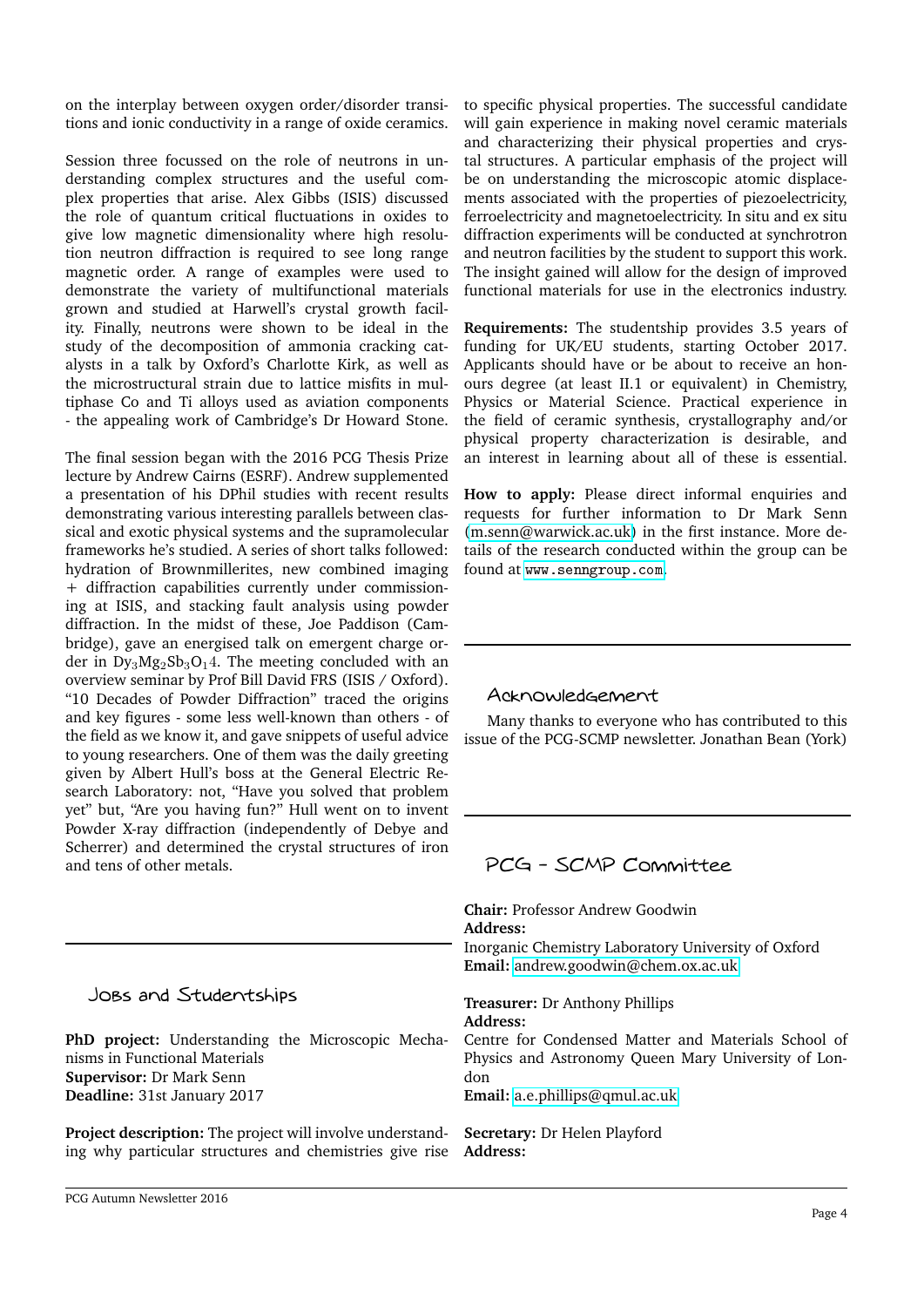on the interplay between oxygen order/disorder transitions and ionic conductivity in a range of oxide ceramics.

Session three focussed on the role of neutrons in understanding complex structures and the useful complex properties that arise. Alex Gibbs (ISIS) discussed the role of quantum critical fluctuations in oxides to give low magnetic dimensionality where high resolution neutron diffraction is required to see long range magnetic order. A range of examples were used to demonstrate the variety of multifunctional materials grown and studied at Harwell's crystal growth facility. Finally, neutrons were shown to be ideal in the study of the decomposition of ammonia cracking catalysts in a talk by Oxford's Charlotte Kirk, as well as the microstructural strain due to lattice misfits in multiphase Co and Ti alloys used as aviation components - the appealing work of Cambridge's Dr Howard Stone.

The final session began with the 2016 PCG Thesis Prize lecture by Andrew Cairns (ESRF). Andrew supplemented a presentation of his DPhil studies with recent results demonstrating various interesting parallels between classical and exotic physical systems and the supramolecular frameworks he's studied. A series of short talks followed: hydration of Brownmillerites, new combined imaging + diffraction capabilities currently under commissioning at ISIS, and stacking fault analysis using powder diffraction. In the midst of these, Joe Paddison (Cambridge), gave an energised talk on emergent charge order in  $Dy_3Mg_2Sb_3O_14$ . The meeting concluded with an overview seminar by Prof Bill David FRS (ISIS / Oxford). "10 Decades of Powder Diffraction" traced the origins and key figures - some less well-known than others - of the field as we know it, and gave snippets of useful advice to young researchers. One of them was the daily greeting given by Albert Hull's boss at the General Electric Research Laboratory: not, "Have you solved that problem yet" but, "Are you having fun?" Hull went on to invent Powder X-ray diffraction (independently of Debye and Scherrer) and determined the crystal structures of iron and tens of other metals.

Jobs and Studentships

**PhD project:** Understanding the Microscopic Mechanisms in Functional Materials **Supervisor:** Dr Mark Senn **Deadline:** 31st January 2017

**Project description:** The project will involve understanding why particular structures and chemistries give rise

to specific physical properties. The successful candidate will gain experience in making novel ceramic materials and characterizing their physical properties and crystal structures. A particular emphasis of the project will be on understanding the microscopic atomic displacements associated with the properties of piezoelectricity, ferroelectricity and magnetoelectricity. In situ and ex situ diffraction experiments will be conducted at synchrotron and neutron facilities by the student to support this work. The insight gained will allow for the design of improved functional materials for use in the electronics industry.

**Requirements:** The studentship provides 3.5 years of funding for UK/EU students, starting October 2017. Applicants should have or be about to receive an honours degree (at least II.1 or equivalent) in Chemistry, Physics or Material Science. Practical experience in the field of ceramic synthesis, crystallography and/or physical property characterization is desirable, and an interest in learning about all of these is essential.

**How to apply:** Please direct informal enquiries and requests for further information to Dr Mark Senn [\(m.senn@warwick.ac.uk\)](mailto:m.senn@warwick.ac.uk) in the first instance. More details of the research conducted within the group can be found at <www.senngroup.com>.

## Acknowledgement

Many thanks to everyone who has contributed to this issue of the PCG-SCMP newsletter. Jonathan Bean (York)

## PCG - SCMP Committee

**Chair:** Professor Andrew Goodwin **Address:** Inorganic Chemistry Laboratory University of Oxford **Email:** [andrew.goodwin@chem.ox.ac.uk](mailto:andrew.goodwin@chem.ox.ac.uk)

**Treasurer:** Dr Anthony Phillips **Address:**

Centre for Condensed Matter and Materials School of Physics and Astronomy Queen Mary University of London

**Email:** [a.e.phillips@qmul.ac.uk](mailto:a.e.phillips@qmul.ac.uk)

**Secretary:** Dr Helen Playford **Address:**